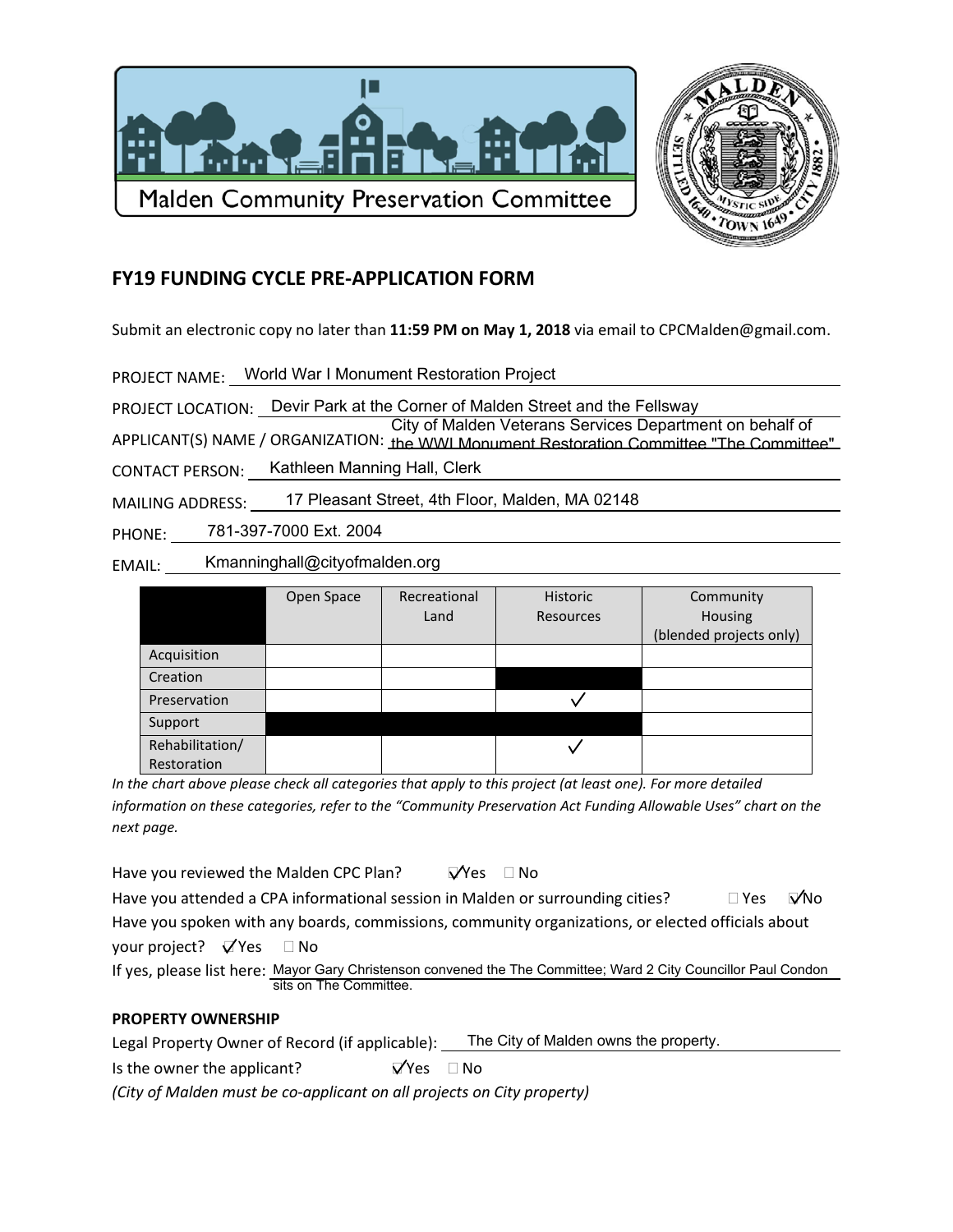



## **FY19 FUNDING CYCLE PRE-APPLICATION FORM**

Submit an electronic copy no later than 11:59 PM on May 1, 2018 via email to CPCMalden@gmail.com.

PROJECT NAME: World War I Monument Restoration Project

PROJECT LOCATION: Devir Park at the Corner of Malden Street and the Fellsway

City of Malden Veterans Services Department on behalf of APPLICANT(S) NAME / ORGANIZATION: the WWI Monument Restoration Committee "The Committee"

Kathleen Manning Hall, Clerk **CONTACT PERSON:** 

17 Pleasant Street, 4th Floor, Malden, MA 02148 **MAILING ADDRESS:** 

781-397-7000 Ext. 2004 PHONE:

Kmanninghall@cityofmalden.org EMAIL:

|                 | Open Space | Recreational | <b>Historic</b>  | Community               |
|-----------------|------------|--------------|------------------|-------------------------|
|                 |            | Land         | <b>Resources</b> | Housing                 |
|                 |            |              |                  | (blended projects only) |
| Acquisition     |            |              |                  |                         |
| Creation        |            |              |                  |                         |
| Preservation    |            |              |                  |                         |
| Support         |            |              |                  |                         |
| Rehabilitation/ |            |              |                  |                         |
| Restoration     |            |              |                  |                         |

In the chart above please check all categories that apply to this project (at least one). For more detailed information on these categories, refer to the "Community Preservation Act Funding Allowable Uses" chart on the next page.

 $\nabla$ Yes  $\Box$  No Have you reviewed the Malden CPC Plan?

Have you attended a CPA informational session in Malden or surrounding cities?  $\square$  Yes  $\nabla$ No Have you spoken with any boards, commissions, community organizations, or elected officials about

your project?  $\bigtriangledown$  Yes  $\Box$  No

If yes, please list here: Mayor Gary Christenson convened the The Committee; Ward 2 City Councillor Paul Condon sits on The Committee.

## **PROPERTY OWNERSHIP**

Legal Property Owner of Record (if applicable): The City of Malden owns the property.

Is the owner the applicant?  $\nabla$ Yes  $\Box$  No

(City of Malden must be co-applicant on all projects on City property)